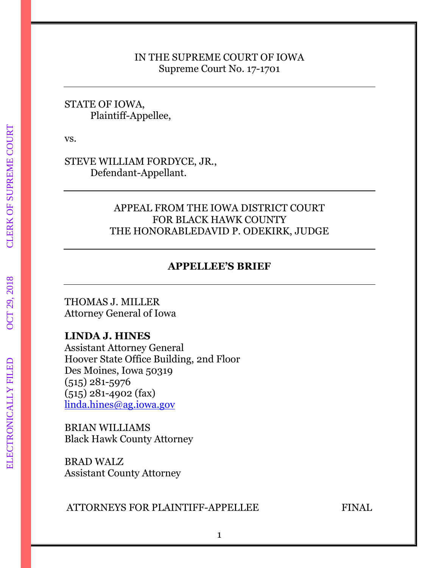### IN THE SUPREME COURT OF IOWA Supreme Court No. 17-1701

## STATE OF IOWA, Plaintiff-Appellee,

vs.

STEVE WILLIAM FORDYCE, JR., Defendant-Appellant.

## APPEAL FROM THE IOWA DISTRICT COURT FOR BLACK HAWK COUNTY THE HONORABLEDAVID P. ODEKIRK, JUDGE

# **APPELLEE'S BRIEF**

THOMAS J. MILLER Attorney General of Iowa

# **LINDA J. HINES**

Assistant Attorney General Hoover State Office Building, 2nd Floor Des Moines, Iowa 50319 (515) 281-5976 (515) 281-4902 (fax) [linda.hines@ag.iowa.gov](mailto:linda.hines@ag.iowa.gov)

BRIAN WILLIAMS Black Hawk County Attorney

BRAD WALZ Assistant County Attorney

# ATTORNEYS FOR PLAINTIFF-APPELLEE FINAL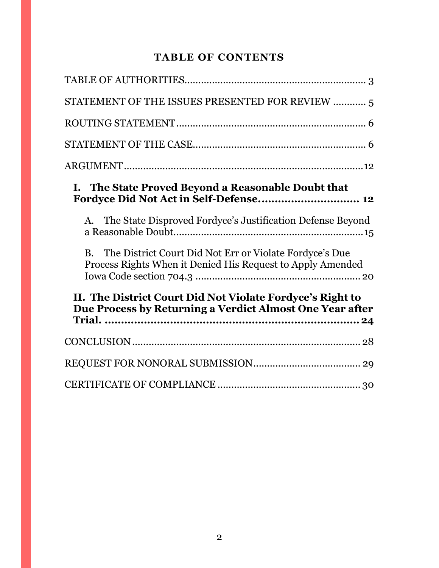# **TABLE OF CONTENTS**

| STATEMENT OF THE ISSUES PRESENTED FOR REVIEW  5                                                                                    |
|------------------------------------------------------------------------------------------------------------------------------------|
|                                                                                                                                    |
|                                                                                                                                    |
|                                                                                                                                    |
| I. The State Proved Beyond a Reasonable Doubt that<br>Fordyce Did Not Act in Self-Defense 12                                       |
| A. The State Disproved Fordyce's Justification Defense Beyond                                                                      |
| The District Court Did Not Err or Violate Fordyce's Due<br><b>B.</b><br>Process Rights When it Denied His Request to Apply Amended |
| II. The District Court Did Not Violate Fordyce's Right to<br>Due Process by Returning a Verdict Almost One Year after              |
|                                                                                                                                    |
|                                                                                                                                    |
|                                                                                                                                    |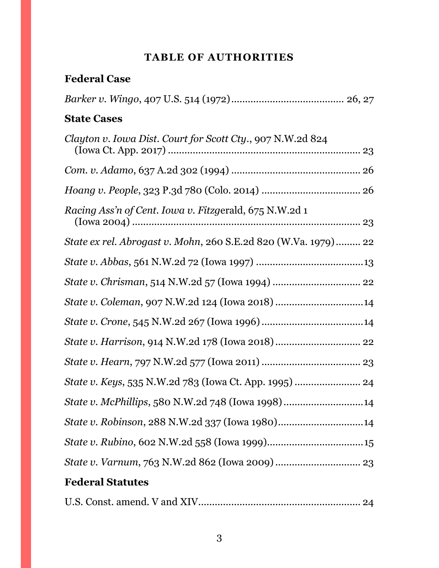# **TABLE OF AUTHORITIES**

<span id="page-2-0"></span>

| <b>Federal Case</b>                                            |
|----------------------------------------------------------------|
|                                                                |
| <b>State Cases</b>                                             |
| Clayton v. Iowa Dist. Court for Scott Cty., 907 N.W.2d 824     |
|                                                                |
|                                                                |
| Racing Ass'n of Cent. Iowa v. Fitzgerald, 675 N.W.2d 1         |
| State ex rel. Abrogast v. Mohn, 260 S.E.2d 820 (W.Va. 1979) 22 |
|                                                                |
|                                                                |
| State v. Coleman, 907 N.W.2d 124 (Iowa 2018) 14                |
|                                                                |
| State v. Harrison, 914 N.W.2d 178 (Iowa 2018)  22              |
|                                                                |
|                                                                |
| State v. McPhillips, 580 N.W.2d 748 (Iowa 1998)14              |
| State v. Robinson, 288 N.W.2d 337 (Iowa 1980)14                |
|                                                                |
|                                                                |
| <b>Federal Statutes</b>                                        |

|--|--|--|--|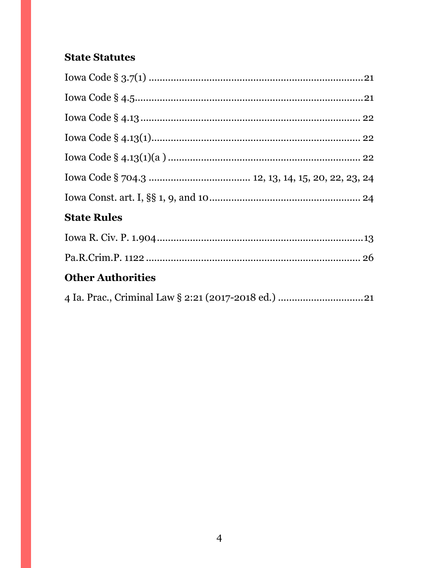# **State Statutes**

| <b>State Rules</b>       |
|--------------------------|
|                          |
|                          |
| <b>Other Authorities</b> |
|                          |
|                          |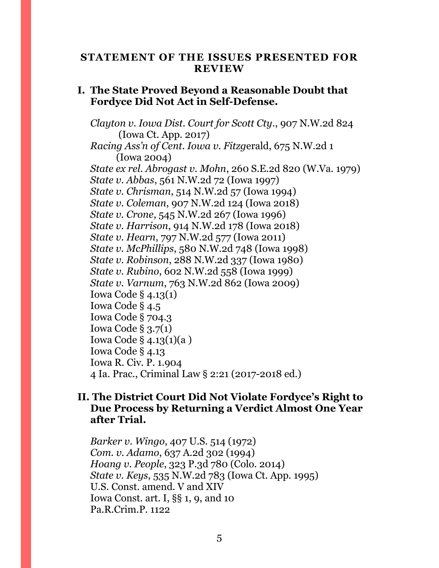### <span id="page-4-0"></span>**STATEMENT OF THE ISSUES PRESENTED FOR REVIEW**

### **I. The State Proved Beyond a Reasonable Doubt that Fordyce Did Not Act in Self-Defense.**

*Clayton v. Iowa Dist. Court for Scott Cty*., 907 N.W.2d 824 (Iowa Ct. App. 2017) *Racing Ass'n of Cent. Iowa v. Fitzg*erald, 675 N.W.2d 1 (Iowa 2004) *State ex rel. Abrogast v. Mohn*, 260 S.E.2d 820 (W.Va. 1979) *State v. Abbas*, 561 N.W.2d 72 (Iowa 1997) *State v. Chrisman*, 514 N.W.2d 57 (Iowa 1994) *State v. Coleman*, 907 N.W.2d 124 (Iowa 2018) *State v. Crone*, 545 N.W.2d 267 (Iowa 1996) *State v. Harrison*, 914 N.W.2d 178 (Iowa 2018) *State v. Hearn*, 797 N.W.2d 577 (Iowa 2011) *State v. McPhillips*, 580 N.W.2d 748 (Iowa 1998) *State v. Robinson*, 288 N.W.2d 337 (Iowa 1980) *State v. Rubino*, 602 N.W.2d 558 (Iowa 1999) *State v. Varnum*, 763 N.W.2d 862 (Iowa 2009) Iowa Code § 4.13(1) Iowa Code § 4.5 Iowa Code § 704.3 Iowa Code § 3.7(1) Iowa Code § 4.13(1)(a ) Iowa Code § 4.13 Iowa R. Civ. P. 1.904 4 Ia. Prac., Criminal Law § 2:21 (2017-2018 ed.)

## **II. The District Court Did Not Violate Fordyce's Right to Due Process by Returning a Verdict Almost One Year after Trial.**

*Barker v. Wingo*, 407 U.S. 514 (1972) *Com. v. Adamo*, 637 A.2d 302 (1994) *Hoang v. People*, 323 P.3d 780 (Colo. 2014) *State v. Keys*, 535 N.W.2d 783 (Iowa Ct. App. 1995) U.S. Const. amend. V and XIV Iowa Const. art. I, §§ 1, 9, and 10 Pa.R.Crim.P. 1122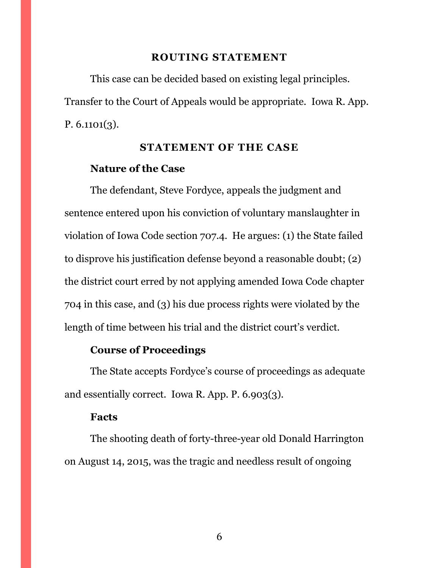#### **ROUTING STATEMENT**

<span id="page-5-0"></span>This case can be decided based on existing legal principles. Transfer to the Court of Appeals would be appropriate. Iowa R. App. P. 6.1101(3).

### **STATEMENT OF THE CASE**

### <span id="page-5-1"></span>**Nature of the Case**

The defendant, Steve Fordyce, appeals the judgment and sentence entered upon his conviction of voluntary manslaughter in violation of Iowa Code section 707.4. He argues: (1) the State failed to disprove his justification defense beyond a reasonable doubt; (2) the district court erred by not applying amended Iowa Code chapter 704 in this case, and (3) his due process rights were violated by the length of time between his trial and the district court's verdict.

## **Course of Proceedings**

The State accepts Fordyce's course of proceedings as adequate and essentially correct. Iowa R. App. P. 6.903(3).

#### **Facts**

The shooting death of forty-three-year old Donald Harrington on August 14, 2015, was the tragic and needless result of ongoing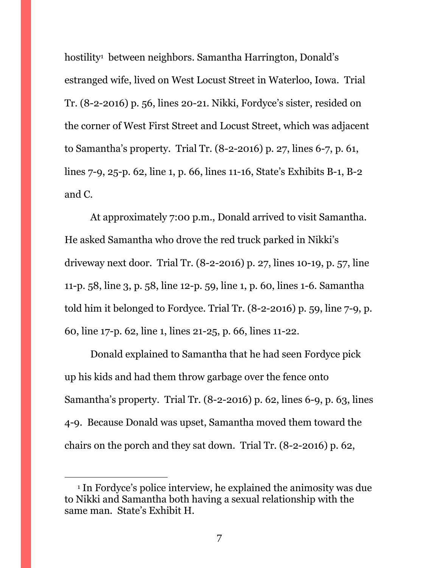hostility<sup>1</sup> between neighbors. Samantha Harrington, Donald's estranged wife, lived on West Locust Street in Waterloo, Iowa. Trial Tr. (8-2-2016) p. 56, lines 20-21. Nikki, Fordyce's sister, resided on the corner of West First Street and Locust Street, which was adjacent to Samantha's property. Trial Tr. (8-2-2016) p. 27, lines 6-7, p. 61, lines 7-9, 25-p. 62, line 1, p. 66, lines 11-16, State's Exhibits B-1, B-2 and C.

At approximately 7:00 p.m., Donald arrived to visit Samantha. He asked Samantha who drove the red truck parked in Nikki's driveway next door. Trial Tr. (8-2-2016) p. 27, lines 10-19, p. 57, line 11-p. 58, line 3, p. 58, line 12-p. 59, line 1, p. 60, lines 1-6. Samantha told him it belonged to Fordyce. Trial Tr. (8-2-2016) p. 59, line 7-9, p. 60, line 17-p. 62, line 1, lines 21-25, p. 66, lines 11-22.

Donald explained to Samantha that he had seen Fordyce pick up his kids and had them throw garbage over the fence onto Samantha's property. Trial Tr. (8-2-2016) p. 62, lines 6-9, p. 63, lines 4-9. Because Donald was upset, Samantha moved them toward the chairs on the porch and they sat down. Trial Tr. (8-2-2016) p. 62,

<sup>1</sup> In Fordyce's police interview, he explained the animosity was due to Nikki and Samantha both having a sexual relationship with the same man. State's Exhibit H.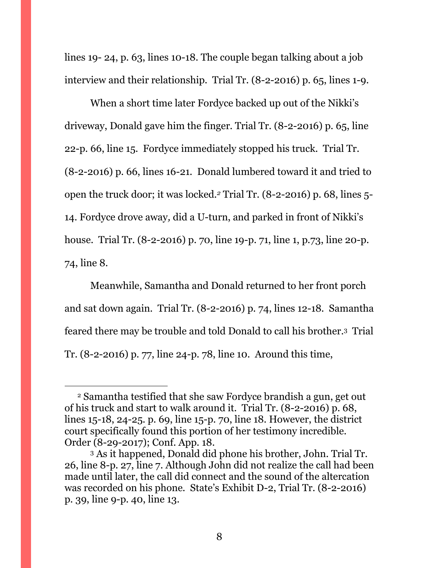lines 19- 24, p. 63, lines 10-18. The couple began talking about a job interview and their relationship. Trial Tr. (8-2-2016) p. 65, lines 1-9.

When a short time later Fordyce backed up out of the Nikki's driveway, Donald gave him the finger. Trial Tr. (8-2-2016) p. 65, line 22-p. 66, line 15. Fordyce immediately stopped his truck. Trial Tr. (8-2-2016) p. 66, lines 16-21. Donald lumbered toward it and tried to open the truck door; it was locked*. <sup>2</sup>* Trial Tr. (8-2-2016) p. 68, lines 5- 14. Fordyce drove away*,* did a U-turn, and parked in front of Nikki's house. Trial Tr. (8-2-2016) p. 70, line 19-p. 71, line 1, p.73, line 20-p. 74, line 8.

Meanwhile, Samantha and Donald returned to her front porch and sat down again. Trial Tr. (8-2-2016) p. 74, lines 12-18. Samantha feared there may be trouble and told Donald to call his brother.3 Trial Tr. (8-2-2016) p. 77, line 24-p. 78, line 10. Around this time,

<sup>2</sup> Samantha testified that she saw Fordyce brandish a gun, get out of his truck and start to walk around it. Trial Tr. (8-2-2016) p. 68, lines 15-18, 24-25. p. 69, line 15-p. 70, line 18. However, the district court specifically found this portion of her testimony incredible. Order (8-29-2017); Conf. App. 18.

<sup>3</sup> As it happened, Donald did phone his brother, John. Trial Tr. 26, line 8-p. 27, line 7. Although John did not realize the call had been made until later, the call did connect and the sound of the altercation was recorded on his phone. State's Exhibit D-2, Trial Tr. (8-2-2016) p. 39, line 9-p. 40, line 13.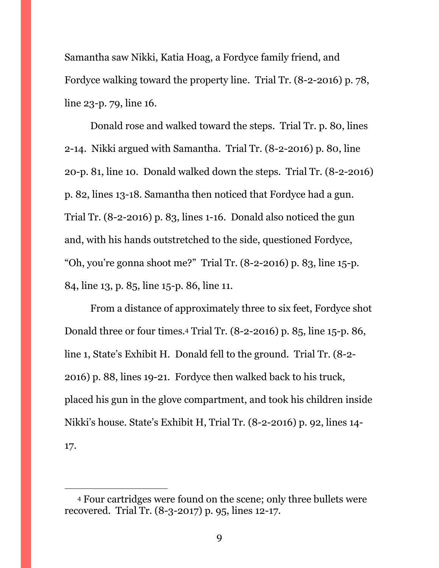Samantha saw Nikki, Katia Hoag, a Fordyce family friend, and Fordyce walking toward the property line. Trial Tr. (8-2-2016) p. 78, line 23-p. 79, line 16.

Donald rose and walked toward the steps. Trial Tr. p. 80, lines 2-14. Nikki argued with Samantha. Trial Tr. (8-2-2016) p. 80, line 20-p. 81, line 10. Donald walked down the steps. Trial Tr. (8-2-2016) p. 82, lines 13-18. Samantha then noticed that Fordyce had a gun. Trial Tr. (8-2-2016) p. 83, lines 1-16. Donald also noticed the gun and, with his hands outstretched to the side, questioned Fordyce, "Oh, you're gonna shoot me?" Trial Tr. (8-2-2016) p. 83, line 15-p. 84, line 13, p. 85, line 15-p. 86, line 11.

From a distance of approximately three to six feet, Fordyce shot Donald three or four times.<sup>4</sup> Trial Tr. (8-2-2016) p. 85, line 15-p. 86, line 1, State's Exhibit H. Donald fell to the ground. Trial Tr. (8-2- 2016) p. 88, lines 19-21. Fordyce then walked back to his truck, placed his gun in the glove compartment, and took his children inside Nikki's house. State's Exhibit H, Trial Tr. (8-2-2016) p. 92, lines 14- 17.

<sup>4</sup> Four cartridges were found on the scene; only three bullets were recovered. Trial Tr. (8-3-2017) p. 95, lines 12-17.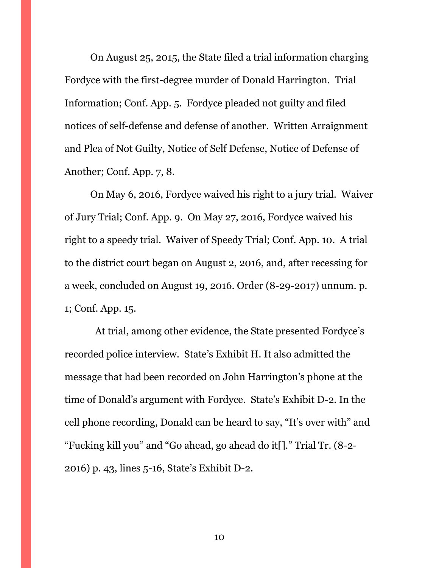On August 25, 2015, the State filed a trial information charging Fordyce with the first-degree murder of Donald Harrington. Trial Information; Conf. App. 5. Fordyce pleaded not guilty and filed notices of self-defense and defense of another. Written Arraignment and Plea of Not Guilty, Notice of Self Defense, Notice of Defense of Another; Conf. App. 7, 8.

On May 6, 2016, Fordyce waived his right to a jury trial. Waiver of Jury Trial; Conf. App. 9. On May 27, 2016, Fordyce waived his right to a speedy trial. Waiver of Speedy Trial; Conf. App. 10. A trial to the district court began on August 2, 2016, and, after recessing for a week, concluded on August 19, 2016. Order (8-29-2017) unnum. p. 1; Conf. App. 15.

 At trial, among other evidence, the State presented Fordyce's recorded police interview. State's Exhibit H. It also admitted the message that had been recorded on John Harrington's phone at the time of Donald's argument with Fordyce. State's Exhibit D-2. In the cell phone recording, Donald can be heard to say, "It's over with" and "Fucking kill you" and "Go ahead, go ahead do it[]." Trial Tr. (8-2- 2016) p. 43, lines 5-16, State's Exhibit D-2.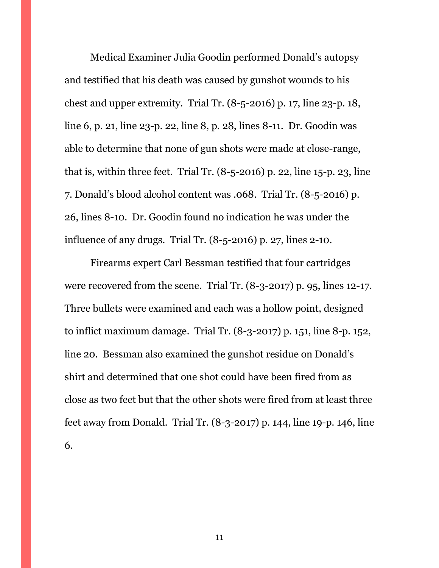Medical Examiner Julia Goodin performed Donald's autopsy and testified that his death was caused by gunshot wounds to his chest and upper extremity. Trial Tr. (8-5-2016) p. 17, line 23-p. 18, line 6, p. 21, line 23-p. 22, line 8, p. 28, lines 8-11. Dr. Goodin was able to determine that none of gun shots were made at close-range, that is, within three feet. Trial Tr.  $(8-5-2016)$  p. 22, line 15-p. 23, line 7. Donald's blood alcohol content was .068. Trial Tr. (8-5-2016) p. 26, lines 8-10. Dr. Goodin found no indication he was under the influence of any drugs. Trial Tr. (8-5-2016) p. 27, lines 2-10.

Firearms expert Carl Bessman testified that four cartridges were recovered from the scene. Trial Tr. (8-3-2017) p. 95, lines 12-17. Three bullets were examined and each was a hollow point, designed to inflict maximum damage. Trial Tr. (8-3-2017) p. 151, line 8-p. 152, line 20. Bessman also examined the gunshot residue on Donald's shirt and determined that one shot could have been fired from as close as two feet but that the other shots were fired from at least three feet away from Donald. Trial Tr. (8-3-2017) p. 144, line 19-p. 146, line 6.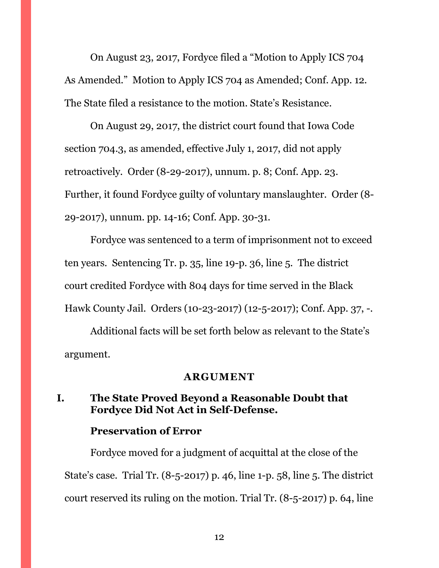On August 23, 2017, Fordyce filed a "Motion to Apply ICS 704 As Amended." Motion to Apply ICS 704 as Amended; Conf. App. 12. The State filed a resistance to the motion. State's Resistance.

On August 29, 2017, the district court found that Iowa Code section 704.3, as amended, effective July 1, 2017, did not apply retroactively. Order (8-29-2017), unnum. p. 8; Conf. App. 23. Further, it found Fordyce guilty of voluntary manslaughter. Order (8- 29-2017), unnum. pp. 14-16; Conf. App. 30-31.

Fordyce was sentenced to a term of imprisonment not to exceed ten years. Sentencing Tr. p. 35, line 19-p. 36, line 5. The district court credited Fordyce with 804 days for time served in the Black Hawk County Jail. Orders (10-23-2017) (12-5-2017); Conf. App. 37, -.

Additional facts will be set forth below as relevant to the State's argument.

#### **ARGUMENT**

### <span id="page-11-1"></span><span id="page-11-0"></span>**I. The State Proved Beyond a Reasonable Doubt that Fordyce Did Not Act in Self-Defense.**

### **Preservation of Error**

Fordyce moved for a judgment of acquittal at the close of the State's case. Trial Tr. (8-5-2017) p. 46, line 1-p. 58, line 5. The district court reserved its ruling on the motion. Trial Tr. (8-5-2017) p. 64, line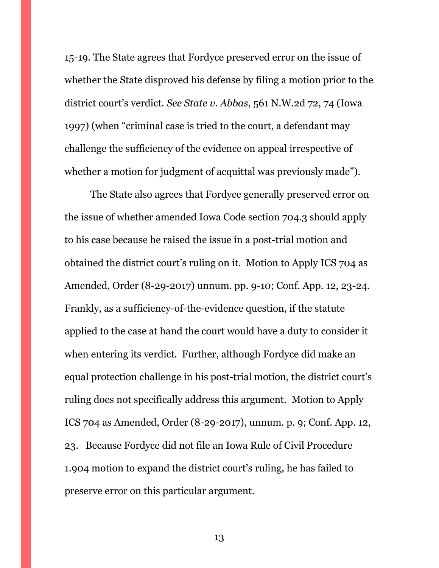15-19. The State agrees that Fordyce preserved error on the issue of whether the State disproved his defense by filing a motion prior to the district court's verdict. *See State v. Abbas*, 561 N.W.2d 72, 74 (Iowa 1997) (when "criminal case is tried to the court, a defendant may challenge the sufficiency of the evidence on appeal irrespective of whether a motion for judgment of acquittal was previously made").

The State also agrees that Fordyce generally preserved error on the issue of whether amended Iowa Code section 704.3 should apply to his case because he raised the issue in a post-trial motion and obtained the district court's ruling on it. Motion to Apply ICS 704 as Amended, Order (8-29-2017) unnum. pp. 9-10; Conf. App. 12, 23-24. Frankly, as a sufficiency-of-the-evidence question, if the statute applied to the case at hand the court would have a duty to consider it when entering its verdict. Further, although Fordyce did make an equal protection challenge in his post-trial motion, the district court's ruling does not specifically address this argument. Motion to Apply ICS 704 as Amended, Order (8-29-2017), unnum. p. 9; Conf. App. 12, 23. Because Fordyce did not file an Iowa Rule of Civil Procedure 1.904 motion to expand the district court's ruling, he has failed to preserve error on this particular argument.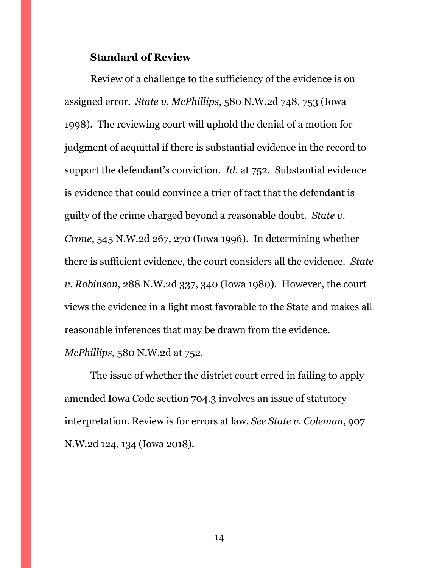### **Standard of Review**

Review of a challenge to the sufficiency of the evidence is on assigned error. *State v. McPhillips*, 580 N.W.2d 748, 753 (Iowa 1998). The reviewing court will uphold the denial of a motion for judgment of acquittal if there is substantial evidence in the record to support the defendant's conviction. *Id*. at 752. Substantial evidence is evidence that could convince a trier of fact that the defendant is guilty of the crime charged beyond a reasonable doubt. *State v. Crone*, 545 N.W.2d 267, 270 (Iowa 1996). In determining whether there is sufficient evidence, the court considers all the evidence. *State v. Robinson*, 288 N.W.2d 337, 340 (Iowa 1980). However, the court views the evidence in a light most favorable to the State and makes all reasonable inferences that may be drawn from the evidence. *McPhillips*, 580 N.W.2d at 752.

The issue of whether the district court erred in failing to apply amended Iowa Code section 704.3 involves an issue of statutory interpretation. Review is for errors at law. *See State v. Coleman*, 907 N.W.2d 124, 134 (Iowa 2018).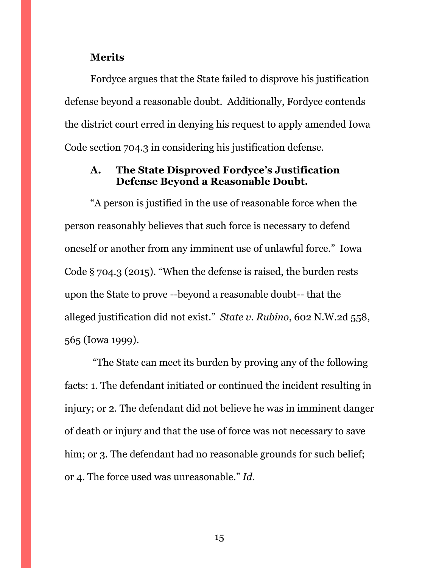#### **Merits**

Fordyce argues that the State failed to disprove his justification defense beyond a reasonable doubt. Additionally, Fordyce contends the district court erred in denying his request to apply amended Iowa Code section 704.3 in considering his justification defense.

### <span id="page-14-0"></span>**A. The State Disproved Fordyce's Justification Defense Beyond a Reasonable Doubt.**

"A person is justified in the use of reasonable force when the person reasonably believes that such force is necessary to defend oneself or another from any imminent use of unlawful force." Iowa Code § 704.3 (2015). "When the defense is raised, the burden rests upon the State to prove --beyond a reasonable doubt-- that the alleged justification did not exist." *State v. Rubino*, 602 N.W.2d 558, 565 (Iowa 1999).

"The State can meet its burden by proving any of the following facts: 1. The defendant initiated or continued the incident resulting in injury; or 2. The defendant did not believe he was in imminent danger of death or injury and that the use of force was not necessary to save him; or 3. The defendant had no reasonable grounds for such belief; or 4. The force used was unreasonable." *Id.*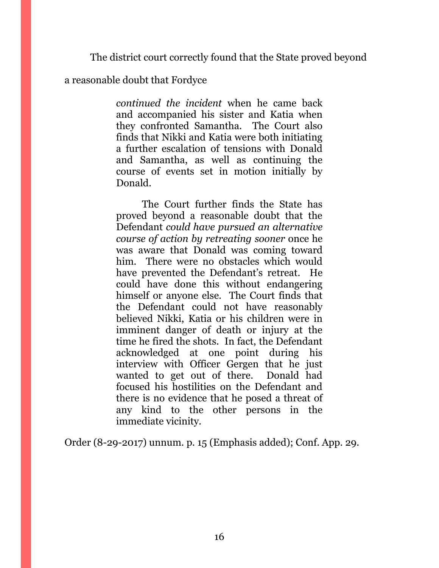The district court correctly found that the State proved beyond

a reasonable doubt that Fordyce

*continued the incident* when he came back and accompanied his sister and Katia when they confronted Samantha. The Court also finds that Nikki and Katia were both initiating a further escalation of tensions with Donald and Samantha, as well as continuing the course of events set in motion initially by Donald.

The Court further finds the State has proved beyond a reasonable doubt that the Defendant *could have pursued an alternative course of action by retreating sooner* once he was aware that Donald was coming toward him. There were no obstacles which would have prevented the Defendant's retreat. He could have done this without endangering himself or anyone else. The Court finds that the Defendant could not have reasonably believed Nikki, Katia or his children were in imminent danger of death or injury at the time he fired the shots. In fact, the Defendant acknowledged at one point during his interview with Officer Gergen that he just wanted to get out of there. Donald had focused his hostilities on the Defendant and there is no evidence that he posed a threat of any kind to the other persons in the immediate vicinity.

Order (8-29-2017) unnum. p. 15 (Emphasis added); Conf. App. 29.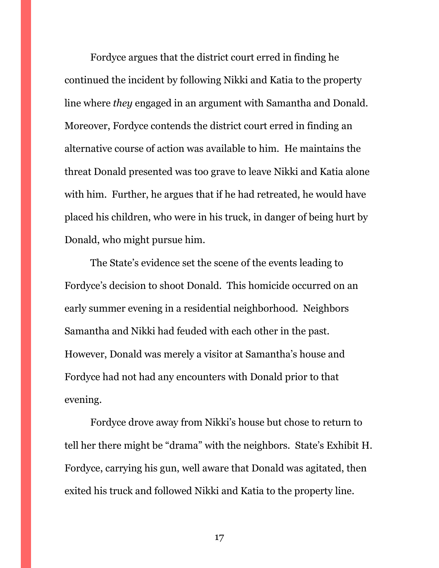Fordyce argues that the district court erred in finding he continued the incident by following Nikki and Katia to the property line where *they* engaged in an argument with Samantha and Donald. Moreover, Fordyce contends the district court erred in finding an alternative course of action was available to him. He maintains the threat Donald presented was too grave to leave Nikki and Katia alone with him. Further, he argues that if he had retreated, he would have placed his children, who were in his truck, in danger of being hurt by Donald, who might pursue him.

The State's evidence set the scene of the events leading to Fordyce's decision to shoot Donald. This homicide occurred on an early summer evening in a residential neighborhood. Neighbors Samantha and Nikki had feuded with each other in the past. However, Donald was merely a visitor at Samantha's house and Fordyce had not had any encounters with Donald prior to that evening.

Fordyce drove away from Nikki's house but chose to return to tell her there might be "drama" with the neighbors. State's Exhibit H. Fordyce, carrying his gun, well aware that Donald was agitated, then exited his truck and followed Nikki and Katia to the property line.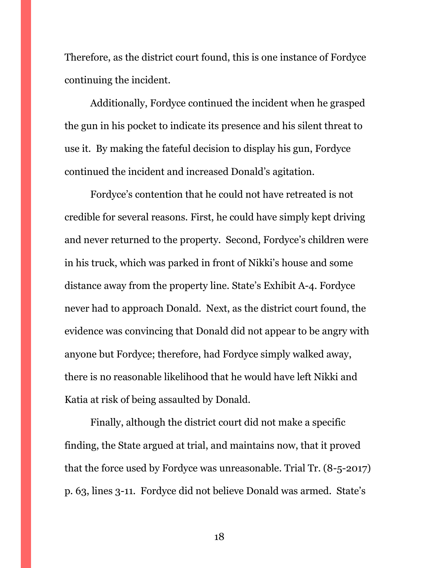Therefore, as the district court found, this is one instance of Fordyce continuing the incident.

Additionally, Fordyce continued the incident when he grasped the gun in his pocket to indicate its presence and his silent threat to use it. By making the fateful decision to display his gun, Fordyce continued the incident and increased Donald's agitation.

Fordyce's contention that he could not have retreated is not credible for several reasons. First, he could have simply kept driving and never returned to the property. Second, Fordyce's children were in his truck, which was parked in front of Nikki's house and some distance away from the property line. State's Exhibit A-4. Fordyce never had to approach Donald. Next, as the district court found, the evidence was convincing that Donald did not appear to be angry with anyone but Fordyce; therefore, had Fordyce simply walked away, there is no reasonable likelihood that he would have left Nikki and Katia at risk of being assaulted by Donald.

Finally, although the district court did not make a specific finding, the State argued at trial, and maintains now, that it proved that the force used by Fordyce was unreasonable. Trial Tr. (8-5-2017) p. 63, lines 3-11. Fordyce did not believe Donald was armed. State's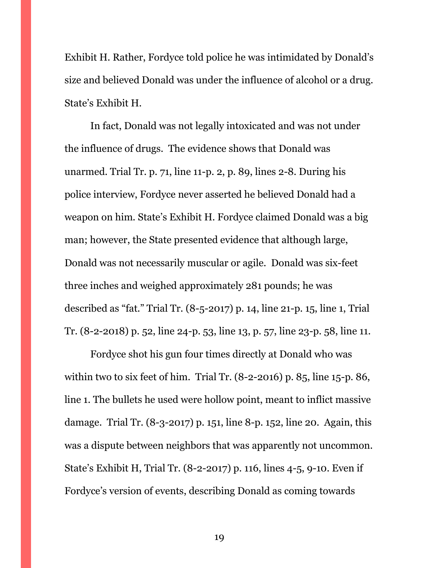Exhibit H. Rather, Fordyce told police he was intimidated by Donald's size and believed Donald was under the influence of alcohol or a drug. State's Exhibit H.

In fact, Donald was not legally intoxicated and was not under the influence of drugs. The evidence shows that Donald was unarmed. Trial Tr. p. 71, line 11-p. 2, p. 89, lines 2-8. During his police interview, Fordyce never asserted he believed Donald had a weapon on him. State's Exhibit H. Fordyce claimed Donald was a big man; however, the State presented evidence that although large, Donald was not necessarily muscular or agile. Donald was six-feet three inches and weighed approximately 281 pounds; he was described as "fat." Trial Tr. (8-5-2017) p. 14, line 21-p. 15, line 1, Trial Tr. (8-2-2018) p. 52, line 24-p. 53, line 13, p. 57, line 23-p. 58, line 11.

Fordyce shot his gun four times directly at Donald who was within two to six feet of him. Trial Tr. (8-2-2016) p. 85, line 15-p. 86, line 1. The bullets he used were hollow point, meant to inflict massive damage. Trial Tr. (8-3-2017) p. 151, line 8-p. 152, line 20. Again, this was a dispute between neighbors that was apparently not uncommon. State's Exhibit H, Trial Tr. (8-2-2017) p. 116, lines 4-5, 9-10. Even if Fordyce's version of events, describing Donald as coming towards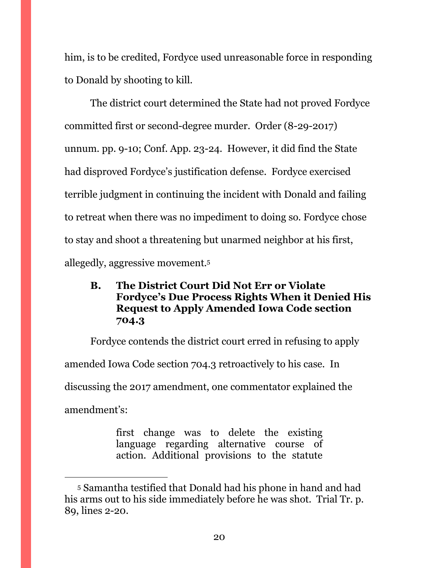him, is to be credited, Fordyce used unreasonable force in responding to Donald by shooting to kill.

The district court determined the State had not proved Fordyce committed first or second-degree murder. Order (8-29-2017) unnum. pp. 9-10; Conf. App. 23-24. However, it did find the State had disproved Fordyce's justification defense. Fordyce exercised terrible judgment in continuing the incident with Donald and failing to retreat when there was no impediment to doing so. Fordyce chose to stay and shoot a threatening but unarmed neighbor at his first, allegedly, aggressive movement.<sup>5</sup>

# <span id="page-19-0"></span>**B. The District Court Did Not Err or Violate Fordyce's Due Process Rights When it Denied His Request to Apply Amended Iowa Code section 704.3**

Fordyce contends the district court erred in refusing to apply amended Iowa Code section 704.3 retroactively to his case. In discussing the 2017 amendment, one commentator explained the amendment's:

> first change was to delete the existing language regarding alternative course of action. Additional provisions to the statute

<sup>5</sup> Samantha testified that Donald had his phone in hand and had his arms out to his side immediately before he was shot. Trial Tr. p. 89, lines 2-20.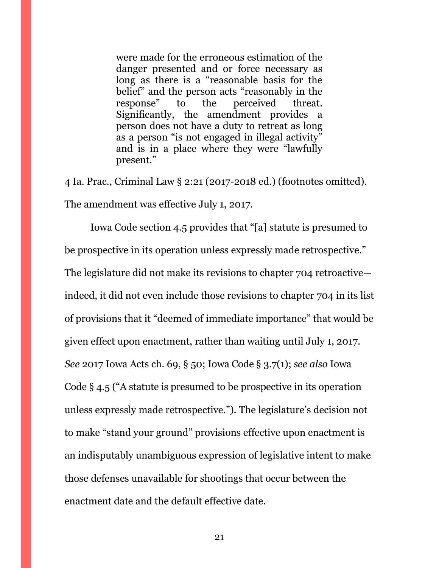were made for the erroneous estimation of the danger presented and or force necessary as long as there is a "reasonable basis for the belief" and the person acts "reasonably in the response" to the perceived threat. Significantly, the amendment provides a person does not have a duty to retreat as long as a person "is not engaged in illegal activity" and is in a place where they were "lawfully present."

4 Ia. Prac., Criminal Law § 2:21 (2017-2018 ed.) (footnotes omitted). The amendment was effective July 1, 2017.

Iowa Code section 4.5 provides that "[a] statute is presumed to be prospective in its operation unless expressly made retrospective." The legislature did not make its revisions to chapter 704 retroactive indeed, it did not even include those revisions to chapter 704 in its list of provisions that it "deemed of immediate importance" that would be given effect upon enactment, rather than waiting until July 1, 2017. *See* 2017 Iowa Acts ch. 69, § 50; Iowa Code § 3.7(1); *see also* Iowa Code § 4.5 ("A statute is presumed to be prospective in its operation unless expressly made retrospective."). The legislature's decision not to make "stand your ground" provisions effective upon enactment is an indisputably unambiguous expression of legislative intent to make those defenses unavailable for shootings that occur between the enactment date and the default effective date.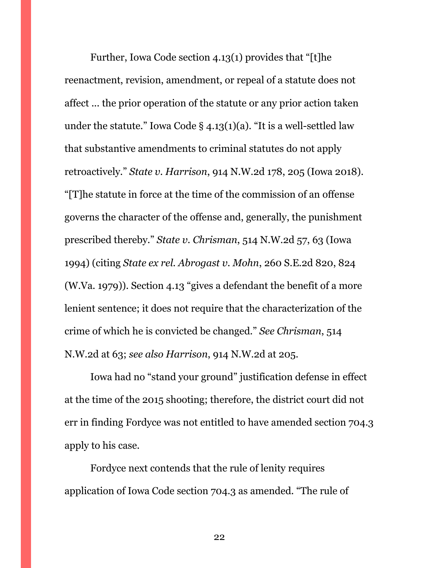Further, Iowa Code section 4.13(1) provides that "[t]he reenactment, revision, amendment, or repeal of a statute does not affect ... the prior operation of the statute or any prior action taken under the statute." Iowa Code  $\S$  4.13(1)(a). "It is a well-settled law that substantive amendments to criminal statutes do not apply retroactively." *State v. Harrison*, 914 N.W.2d 178, 205 (Iowa 2018). "[T]he statute in force at the time of the commission of an offense governs the character of the offense and, generally, the punishment prescribed thereby." *State v. Chrisman*, 514 N.W.2d 57, 63 (Iowa 1994) (citing *State ex rel. Abrogast v. Mohn*, 260 S.E.2d 820, 824 (W.Va. 1979)). Section 4.13 "gives a defendant the benefit of a more lenient sentence; it does not require that the characterization of the crime of which he is convicted be changed." *See Chrisman*, 514 N.W.2d at 63; *see also Harrison*, 914 N.W.2d at 205.

Iowa had no "stand your ground" justification defense in effect at the time of the 2015 shooting; therefore, the district court did not err in finding Fordyce was not entitled to have amended section 704.3 apply to his case.

Fordyce next contends that the rule of lenity requires application of Iowa Code section 704.3 as amended. "The rule of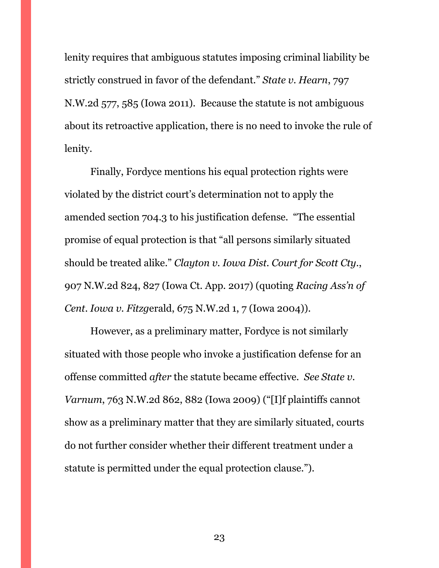lenity requires that ambiguous statutes imposing criminal liability be strictly construed in favor of the defendant." *State v. Hearn*, 797 N.W.2d 577, 585 (Iowa 2011). Because the statute is not ambiguous about its retroactive application, there is no need to invoke the rule of lenity.

Finally, Fordyce mentions his equal protection rights were violated by the district court's determination not to apply the amended section 704.3 to his justification defense. "The essential promise of equal protection is that "all persons similarly situated should be treated alike." *Clayton v. Iowa Dist. Court for Scott Cty*., 907 N.W.2d 824, 827 (Iowa Ct. App. 2017) (quoting *Racing Ass'n of Cent. Iowa v. Fitzg*erald, 675 N.W.2d 1, 7 (Iowa 2004)).

However, as a preliminary matter, Fordyce is not similarly situated with those people who invoke a justification defense for an offense committed *after* the statute became effective. *See State v. Varnum*, 763 N.W.2d 862, 882 (Iowa 2009) ("[I]f plaintiffs cannot show as a preliminary matter that they are similarly situated, courts do not further consider whether their different treatment under a statute is permitted under the equal protection clause.").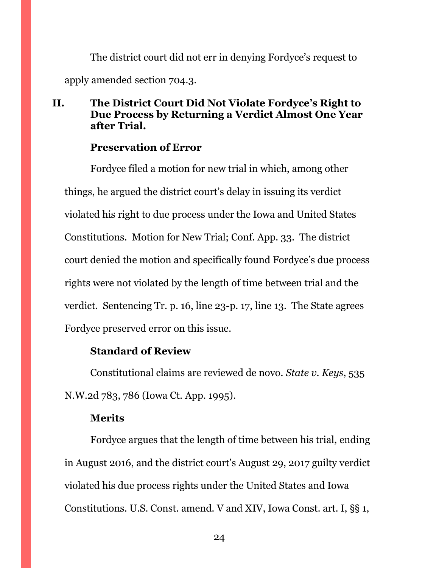The district court did not err in denying Fordyce's request to apply amended section 704.3.

## <span id="page-23-0"></span>**II. The District Court Did Not Violate Fordyce's Right to Due Process by Returning a Verdict Almost One Year after Trial.**

## **Preservation of Error**

Fordyce filed a motion for new trial in which, among other things, he argued the district court's delay in issuing its verdict violated his right to due process under the Iowa and United States Constitutions. Motion for New Trial; Conf. App. 33. The district court denied the motion and specifically found Fordyce's due process rights were not violated by the length of time between trial and the verdict. Sentencing Tr. p. 16, line 23-p. 17, line 13. The State agrees Fordyce preserved error on this issue.

### **Standard of Review**

Constitutional claims are reviewed de novo. *State v. Keys*, 535 N.W.2d 783, 786 (Iowa Ct. App. 1995).

### **Merits**

Fordyce argues that the length of time between his trial, ending in August 2016, and the district court's August 29, 2017 guilty verdict violated his due process rights under the United States and Iowa Constitutions. U.S. Const. amend. V and XIV, Iowa Const. art. I, §§ 1,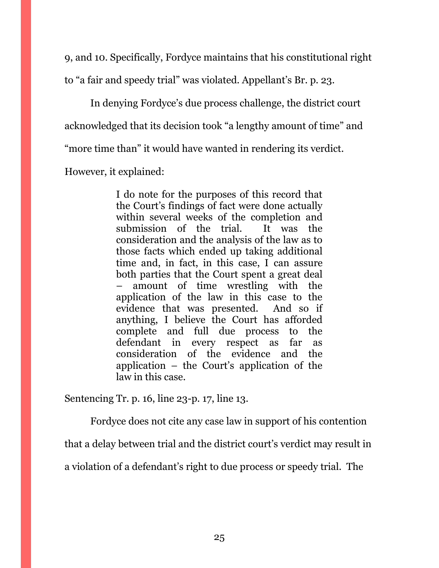9, and 10. Specifically, Fordyce maintains that his constitutional right

to "a fair and speedy trial" was violated. Appellant's Br. p. 23.

In denying Fordyce's due process challenge, the district court acknowledged that its decision took "a lengthy amount of time" and "more time than" it would have wanted in rendering its verdict.

However, it explained:

I do note for the purposes of this record that the Court's findings of fact were done actually within several weeks of the completion and submission of the trial. It was the consideration and the analysis of the law as to those facts which ended up taking additional time and, in fact, in this case, I can assure both parties that the Court spent a great deal – amount of time wrestling with the application of the law in this case to the evidence that was presented. And so if anything, I believe the Court has afforded complete and full due process to the defendant in every respect as far as consideration of the evidence and the application – the Court's application of the law in this case.

Sentencing Tr. p. 16, line 23-p. 17, line 13.

Fordyce does not cite any case law in support of his contention

that a delay between trial and the district court's verdict may result in

a violation of a defendant's right to due process or speedy trial. The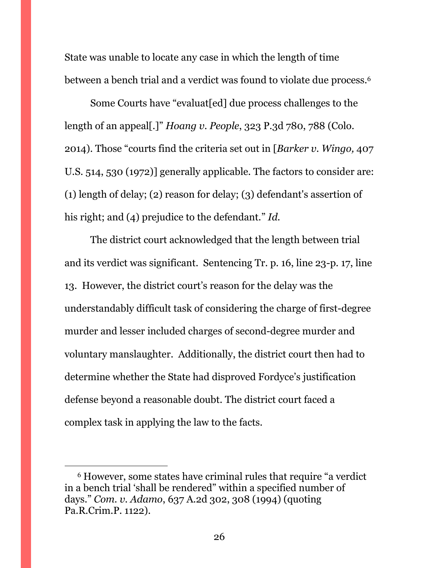State was unable to locate any case in which the length of time between a bench trial and a verdict was found to violate due process.<sup>6</sup>

Some Courts have "evaluat[ed] due process challenges to the length of an appeal[.]" *Hoang v. People*, 323 P.3d 780, 788 (Colo. 2014). Those "courts find the criteria set out in [*Barker v. Wingo,* 407 U.S. 514, 530 (1972)] generally applicable. The factors to consider are: (1) length of delay; (2) reason for delay; (3) defendant's assertion of his right; and (4) prejudice to the defendant." *Id.*

The district court acknowledged that the length between trial and its verdict was significant. Sentencing Tr. p. 16, line 23-p. 17, line 13. However, the district court's reason for the delay was the understandably difficult task of considering the charge of first-degree murder and lesser included charges of second-degree murder and voluntary manslaughter. Additionally, the district court then had to determine whether the State had disproved Fordyce's justification defense beyond a reasonable doubt. The district court faced a complex task in applying the law to the facts.

<sup>6</sup> However, some states have criminal rules that require "a verdict in a bench trial 'shall be rendered" within a specified number of days." *Com. v. Adamo*, 637 A.2d 302, 308 (1994) (quoting Pa.R.Crim.P. 1122).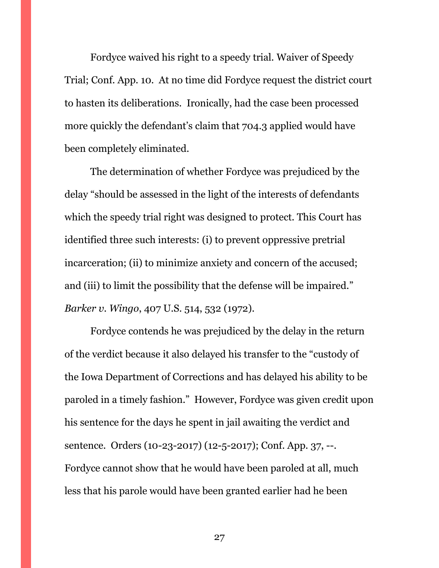Fordyce waived his right to a speedy trial. Waiver of Speedy Trial; Conf. App. 10. At no time did Fordyce request the district court to hasten its deliberations. Ironically, had the case been processed more quickly the defendant's claim that 704.3 applied would have been completely eliminated.

The determination of whether Fordyce was prejudiced by the delay "should be assessed in the light of the interests of defendants which the speedy trial right was designed to protect. This Court has identified three such interests: (i) to prevent oppressive pretrial incarceration; (ii) to minimize anxiety and concern of the accused; and (iii) to limit the possibility that the defense will be impaired." *Barker v. Wingo*, 407 U.S. 514, 532 (1972).

Fordyce contends he was prejudiced by the delay in the return of the verdict because it also delayed his transfer to the "custody of the Iowa Department of Corrections and has delayed his ability to be paroled in a timely fashion." However, Fordyce was given credit upon his sentence for the days he spent in jail awaiting the verdict and sentence. Orders (10-23-2017) (12-5-2017); Conf. App. 37, --. Fordyce cannot show that he would have been paroled at all, much less that his parole would have been granted earlier had he been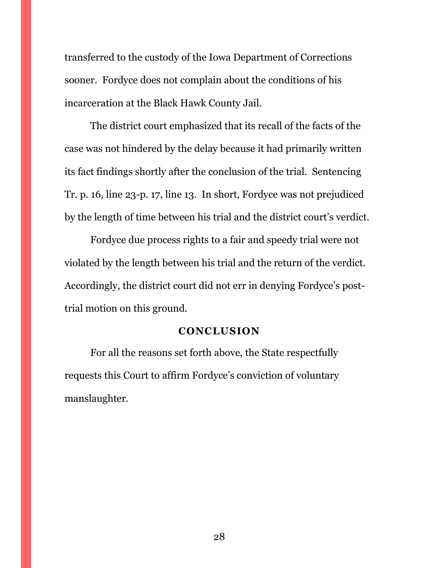transferred to the custody of the Iowa Department of Corrections sooner. Fordyce does not complain about the conditions of his incarceration at the Black Hawk County Jail.

The district court emphasized that its recall of the facts of the case was not hindered by the delay because it had primarily written its fact findings shortly after the conclusion of the trial. Sentencing Tr. p. 16, line 23-p. 17, line 13. In short, Fordyce was not prejudiced by the length of time between his trial and the district court's verdict.

Fordyce due process rights to a fair and speedy trial were not violated by the length between his trial and the return of the verdict. Accordingly, the district court did not err in denying Fordyce's posttrial motion on this ground.

#### **CONCLUSION**

<span id="page-27-0"></span>For all the reasons set forth above, the State respectfully requests this Court to affirm Fordyce's conviction of voluntary manslaughter.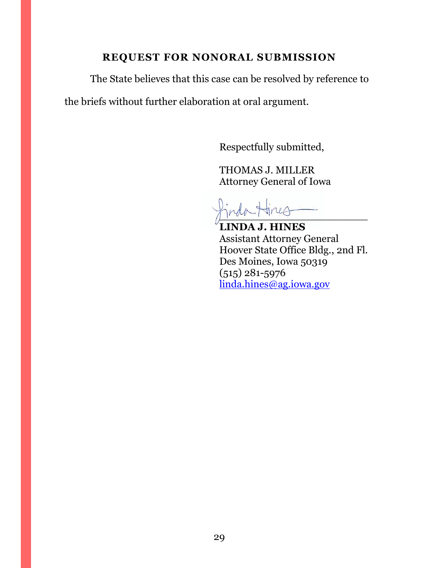# **REQUEST FOR NONORAL SUBMISSION**

<span id="page-28-0"></span>The State believes that this case can be resolved by reference to the briefs without further elaboration at oral argument.

Respectfully submitted,

THOMAS J. MILLER Attorney General of Iowa

 $\frac{1}{1}$ 

**LINDA J. HINES** Assistant Attorney General Hoover State Office Bldg., 2nd Fl. Des Moines, Iowa 50319 (515) 281-5976 [linda.hines@ag.iowa.gov](mailto:linda.hines@ag.iowa.gov)